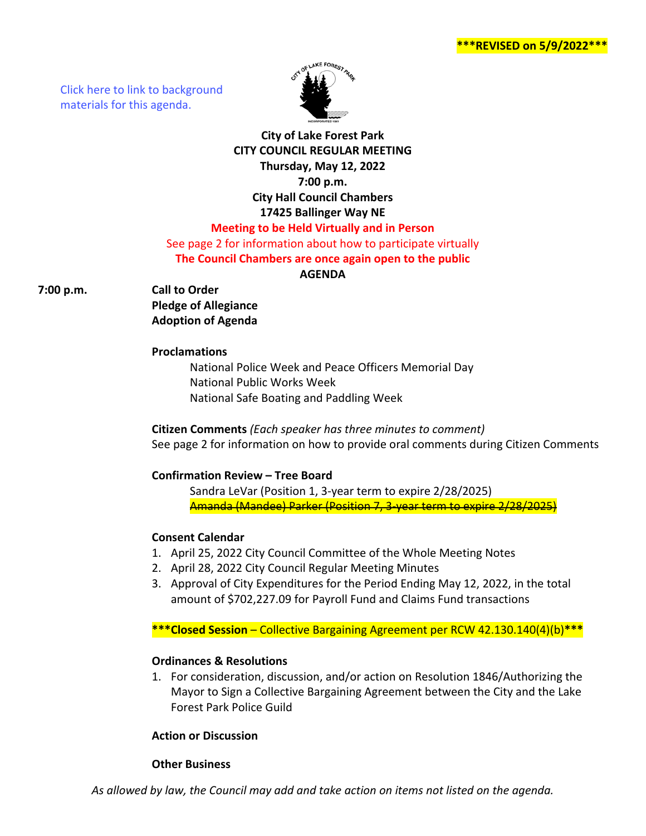**\*\*\*REVISED on 5/9/2022\*\*\***

[Click here to link to background](https://media.avcaptureall.cloud/meeting/51c516f8-38ab-456f-9245-562e982f80ba) materials for this agenda.



# **City of Lake Forest Park CITY COUNCIL REGULAR MEETING Thursday, May 12, 2022 7:00 p.m. City Hall Council Chambers 17425 Ballinger Way NE Meeting to be Held Virtually and in Person**

# See page 2 for information about how to participate virtually **The Council Chambers are once again open to the public**

#### **AGENDA**

**7:00 p.m. Call to Order**

**Pledge of Allegiance Adoption of Agenda**

#### **Proclamations**

National Police Week and Peace Officers Memorial Day National Public Works Week National Safe Boating and Paddling Week

# **Citizen Comments** *(Each speaker has three minutes to comment)* See page 2 for information on how to provide oral comments during Citizen Comments

## **Confirmation Review – Tree Board**

Sandra LeVar (Position 1, 3-year term to expire 2/28/2025) Amanda (Mandee) Parker (Position 7, 3-year term to expire 2/28/2025)

# **Consent Calendar**

- 1. April 25, 2022 City Council Committee of the Whole Meeting Notes
- 2. April 28, 2022 City Council Regular Meeting Minutes
- 3. Approval of City Expenditures for the Period Ending May 12, 2022, in the total amount of \$702,227.09 for Payroll Fund and Claims Fund transactions

**\*\*\*Closed Session** – Collective Bargaining Agreement per RCW 42.130.140(4)(b)**\*\*\***

## **Ordinances & Resolutions**

1. For consideration, discussion, and/or action on Resolution 1846/Authorizing the Mayor to Sign a Collective Bargaining Agreement between the City and the Lake Forest Park Police Guild

## **Action or Discussion**

## **Other Business**

*As allowed by law, the Council may add and take action on items not listed on the agenda.*